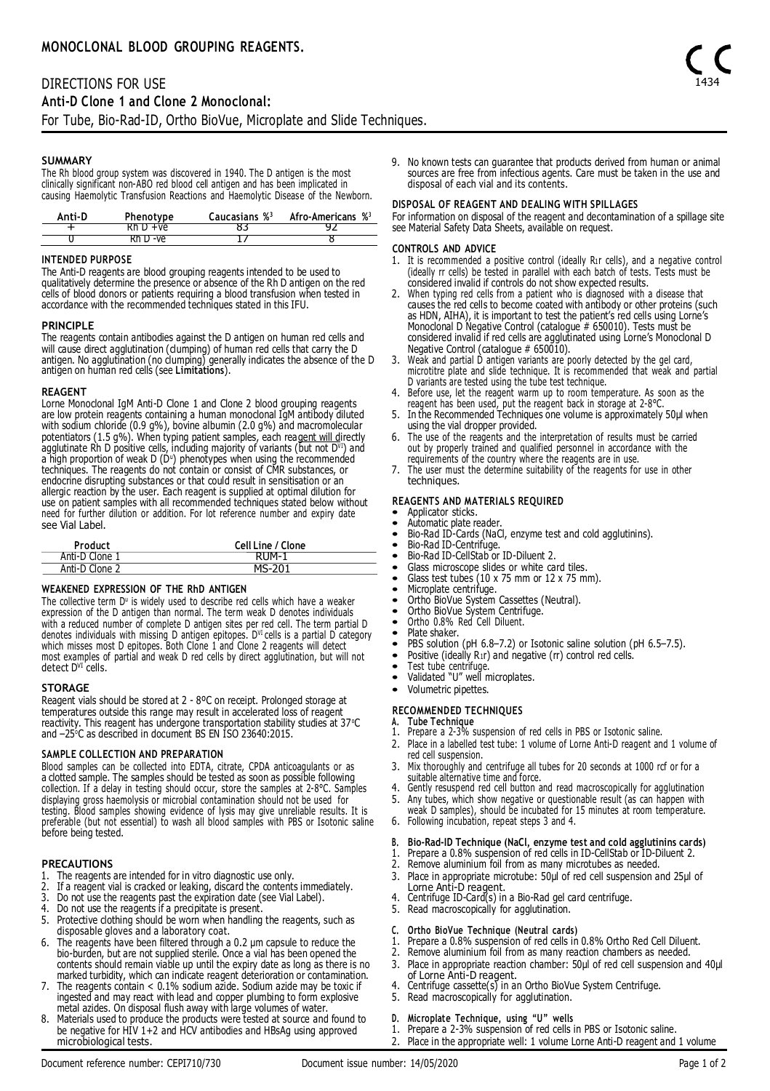The Rh blood group system was discovered in 1940. The D antigen is the most clinically significant non-ABO red blood cell antigen and has been implicated in causing Haemolytic Transfusion Reactions and Haemolytic Disease of the Newborn.

| Anti-D | Phenotype | Caucasians % <sup>3</sup> | Afro-Americans % <sup>3</sup> |
|--------|-----------|---------------------------|-------------------------------|
|        |           |                           |                               |
|        | Rh I) -ve |                           |                               |

## **INTENDED PURPOSE**

The Anti-D reagents are blood grouping reagents intended to be used to qualitatively determine the presence or absence of the Rh D antigen on the red cells of blood donors or patients requiring a blood transfusion when tested in accordance with the recommended techniques stated in this IFU.

## **PRINCIPLE**

The reagents contain antibodies against the D antigen on human red cells and will cause direct agglutination (clumping) of human red cells that carry the D antigen. No agglutination (no clumping) generally indicates the absence of the D antigen on human red cells (see **Limitations**).

### **REAGENT**

Lorne Monodonal IgM Anti-D Clone 1 and Clone 2 blood grouping reagents<br>are low protein reagents containing a human monodonal IgM antibody diluted<br>with sodium chloride (0.9 g%), bovine albumin (2.0 g%) and macromolecular<br>po a high proportion of weak D (D") phenotypes when using the recommended<br>techniques. The reagents do not contain or consist of CMR substances, or endocrine disrupting substances or that could result in sensitisation or an allergic reaction by the user. Each reagent is supplied at optimal dilution for use on patient samples with all recommended techniques stated below without need for further dilution or addition. For lot reference number and expiry date see Vial Label.

| Product        | Cell Line / Clone |
|----------------|-------------------|
| Anti-D Clone 1 | RIJM-1            |
| Anti-D Clone 2 | MS-201            |

# **WEAKENED EXPRESSION OF THE RhD ANTIGEN**

The collective term D<sup>u</sup> is widely used to describe red cells which have a weaker expression of the D antigen than normal. The term weak D denotes individuals with a reduced number of complete D antigen sites per red cell. The term partial D denotes individuals with missing D antigen epitopes. D<sup>vi</sup> cells is a partial D category which misses most D epitopes. Both Clone 1 and Clone 2 reagents will detect most examples of partial and weak D red cells by direct agglutination, but will not<br>detect D<sup>vI</sup> cells.

### **STORAGE**

Reagent vials should be stored at 2 - 8ºC on receipt. Prolonged storage at temperatures outside this range may result in accelerated loss of reagent reactivity. This reagent has undergone transportation stability studies at 37°C and -25<sup>o</sup>C as described in document BS EN ISO 23640:2015.

## **SAMPLE COLLECTION AND PREPARATION**

Blood samples can be collected into EDTA, citrate, CPDA anticoagulants or as a clotted sample. The samples should be tested as soon as possible following collection. If a delay in testing should occur, store the samples at 2-8°C. Samples displaying gross haemolysis or microbial contamination should not be used for testing. Blood samples showing evidence of lysis may give unreliable results. It is preferable (but not essential) to wash all blood samples with PBS or Isotonic saline before being tested.

### **PRECAUTIONS**

- 1. The reagents are intended for in vitro diagnostic use only.
- 2. If a reagent vial is cracked or leaking, discard the contents immediately.
- 3. Do not use the reagents past the expiration date (see Vial Label).
- 4. Do not use the reagents if a precipitate is present.<br>5. Protective clothing should be worn when handling
- Protective clothing should be worn when handling the reagents, such as disposable gloves and a laboratory coat.
- 6. The reagents have been filtered through a 0.2 μm capsule to reduce the bio-burden, but are not supplied sterile. Once a vial has been opened the contents should remain viable up until the expiry date as long as there is no marked turbidity, which can indicate reagent deterioration or contamination.
- 7. The reagents contain < 0.1% sodium azide. Sodium azide may be toxic if ingested and may react with lead and copper plumbing to form explosive
- metal azides. On disposal flush away with large volumes of water.<br>8. Materials used to produce the products were tested at source and found to<br>be negative for HIV 1+2 and HCV antibodies and HBsAg using approved microbiological tests.

9. No known tests can guarantee that products derived from human or animal sources are free from infectious agents. Care must be taken in the use and disposal of each vial and its contents.

## **DISPOSAL OF REAGENT AND DEALING WITH SPILLAGES**

For information on disposal of the reagent and decontamination of a spillage site see Material Safety Data Sheets, available on request.

### **CONTROLS AND ADVICE**

- 1. It is recommended a positive control (ideally R1r cells), and a negative control (ideally rr cells) be tested in parallel with each batch of tests. Tests must be considered invalid if controls do not show expected results.
- 2. When typing red cells from a patient who is diagnosed with a disease that causes the red cells to become coated with antibody or other proteins (such as HDN, AIHA), it is important to test the patient's red cells using Lorne's Monoclonal D Negative Control (catalogue # 650010). Tests must be considered invalid if red cells are agglutinated using Lorne's Monoclonal D Negative Control (catalogue # 650010).
- 3. Weak and partial D antigen variants are poorly detected by the gel card, microtitre plate and slide technique. It is recommended that weak and partial
- D variants are tested using the tube test technique. 4. Before use, let the reagent warm up to room temperature. As soon as the reagent has been used, put the reagent back in storage at 2-8°C.
- 5. In the Recommended Techniques one volume is approximately 50μl when using the vial dropper provided.
- 6. The use of the reagents and the interpretation of results must be carried out by properly trained and qualified personnel in accordance with the
- requirements of the country where the reagents are in use. 7. The user must the determine suitability of the reagents for use in other techniques.
- **REAGENTS AND MATERIALS REQUIRED**
- Applicator sticks.
- Automatic plate reader
- Bio-Rad ID-Cards (NaCl, enzyme test and cold agglutinins).<br>• Bio-Rad ID-Centrifuge
- Bio-Rad ID-Centrifuge.<br>• Bio-Rad ID-CellStab or
- Bio-Rad ID-CellStab or ID-Diluent 2.<br>• Glass microscope slides or white ca
- Glass microscope slides or white card tiles.<br>• Glass test tubes (10 x 75 mm or 12 x 75 m
- Glass test tubes (10 x 75 mm or 12 x 75 mm).<br>• Microplate centrifuge.
- Microplate centrifuge.
- Ortho BioVue System Cassettes (Neutral).
- Ortho BioVue System Centrifuge. Ortho 0.8% Red Cell Diluent.
- 
- Plate shaker.
- PBS solution (pH 6.8–7.2) or Isotonic saline solution (pH 6.5–7.5).
- Positive (ideally R<sub>1</sub>r) and negative (rr) control red cells.
- Test tube centrifuge.
- Validated "U" well microplates.
- Volumetric pipettes.

## **RECOMMENDED TECHNIQUES**

- 
- **A. Tube Technique** 1. Prepare a 2-3% suspension of red cells in PBS or Isotonic saline.
- 2. Place in a labelled test tube: 1 volume of Lorne Anti-D reagent and 1 volume of red cell suspension.
- 3. Mix thoroughly and centrifuge all tubes for 20 seconds at 1000 rcf or for a
- suitable alternative time and force. 4. Gently resuspend red cell button and read macroscopically for agglutination 5. Any tubes, which show negative or questionable result (as can happen with
- weak D samples), should be incubated for 15 minutes at room temperature. 6. Following incubation, repeat steps 3 and 4.

# **B. Bio-Rad-ID Technique (NaCl, enzyme test and cold agglutinins cards)**

- 1. Prepare a 0.8% suspension of red cells in ID-CellStab or ID-Diluent 2.
- Remove aluminium foil from as many microtubes as needed.
- 3. Place in appropriate microtube: 50μl of red cell suspension and 25μl of Lorne Anti-D reagent. 4. Centrifuge ID-Card(s) in a Bio-Rad gel card centrifuge.
- 
- 5. Read macroscopically for agglutination.
- **C. Ortho BioVue Technique (Neutral cards)**
- Prepare a 0.8% suspension of red cells in 0.8% Ortho Red Cell Diluent.
- 2. Remove aluminium foil from as many reaction chambers as needed.
- 3. Place in appropriate reaction chamber: 50μl of red cell suspension and 40μl of Lorne Anti-D reagent. 4. Centrifuge cassette(s) in an Ortho BioVue System Centrifuge.
- 
- 5. Read macroscopically for agglutination.
- **D. Microplate Technique, using "U" wells**
- Prepare a 2-3% suspension of red cells in PBS or Isotonic saline.
- 2. Place in the appropriate well: 1 volume Lorne Anti-D reagent and 1 volume